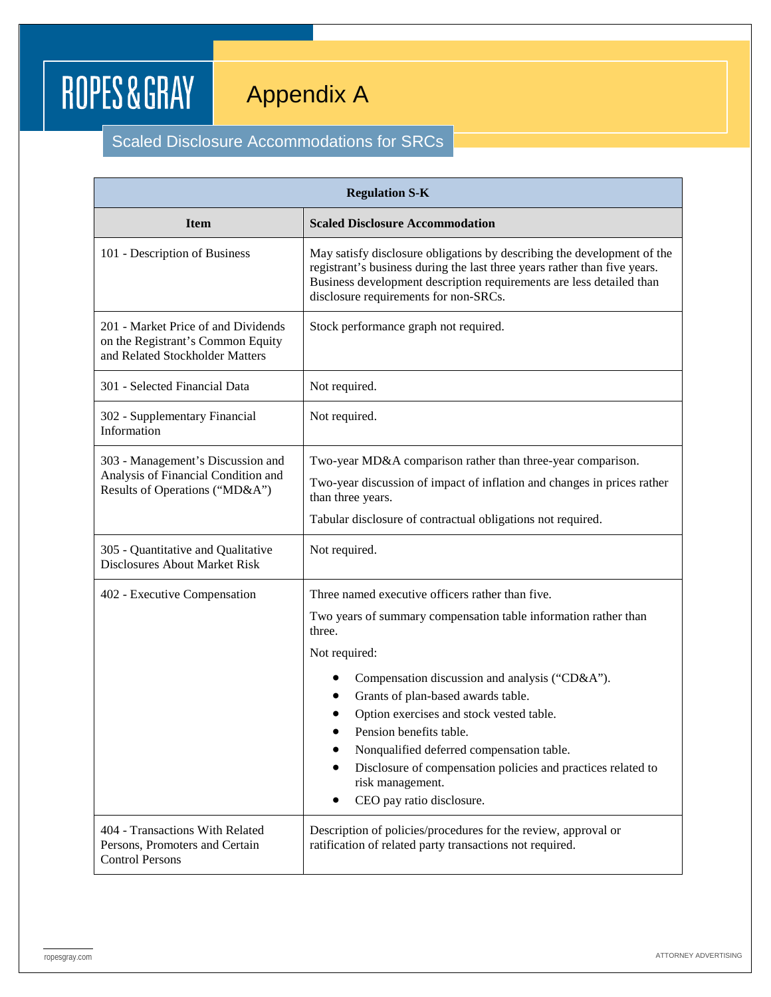## ROPES&GRAY

## Appendix A

## Scaled Disclosure Accommodations for SRCs

| <b>Regulation S-K</b>                                                                                       |                                                                                                                                                                                                                                                                       |  |
|-------------------------------------------------------------------------------------------------------------|-----------------------------------------------------------------------------------------------------------------------------------------------------------------------------------------------------------------------------------------------------------------------|--|
| <b>Item</b>                                                                                                 | <b>Scaled Disclosure Accommodation</b>                                                                                                                                                                                                                                |  |
| 101 - Description of Business                                                                               | May satisfy disclosure obligations by describing the development of the<br>registrant's business during the last three years rather than five years.<br>Business development description requirements are less detailed than<br>disclosure requirements for non-SRCs. |  |
| 201 - Market Price of and Dividends<br>on the Registrant's Common Equity<br>and Related Stockholder Matters | Stock performance graph not required.                                                                                                                                                                                                                                 |  |
| 301 - Selected Financial Data                                                                               | Not required.                                                                                                                                                                                                                                                         |  |
| 302 - Supplementary Financial<br>Information                                                                | Not required.                                                                                                                                                                                                                                                         |  |
| 303 - Management's Discussion and<br>Analysis of Financial Condition and<br>Results of Operations ("MD&A")  | Two-year MD&A comparison rather than three-year comparison.                                                                                                                                                                                                           |  |
|                                                                                                             | Two-year discussion of impact of inflation and changes in prices rather<br>than three years.                                                                                                                                                                          |  |
|                                                                                                             | Tabular disclosure of contractual obligations not required.                                                                                                                                                                                                           |  |
| 305 - Quantitative and Qualitative<br><b>Disclosures About Market Risk</b>                                  | Not required.                                                                                                                                                                                                                                                         |  |
| 402 - Executive Compensation                                                                                | Three named executive officers rather than five.                                                                                                                                                                                                                      |  |
|                                                                                                             | Two years of summary compensation table information rather than<br>three.                                                                                                                                                                                             |  |
|                                                                                                             | Not required:                                                                                                                                                                                                                                                         |  |
|                                                                                                             | Compensation discussion and analysis ("CD&A").                                                                                                                                                                                                                        |  |
|                                                                                                             | Grants of plan-based awards table.                                                                                                                                                                                                                                    |  |
|                                                                                                             | Option exercises and stock vested table.<br>Pension benefits table.                                                                                                                                                                                                   |  |
|                                                                                                             | Nonqualified deferred compensation table.                                                                                                                                                                                                                             |  |
|                                                                                                             | Disclosure of compensation policies and practices related to<br>risk management.                                                                                                                                                                                      |  |
|                                                                                                             | CEO pay ratio disclosure.                                                                                                                                                                                                                                             |  |
| 404 - Transactions With Related<br>Persons, Promoters and Certain<br><b>Control Persons</b>                 | Description of policies/procedures for the review, approval or<br>ratification of related party transactions not required.                                                                                                                                            |  |